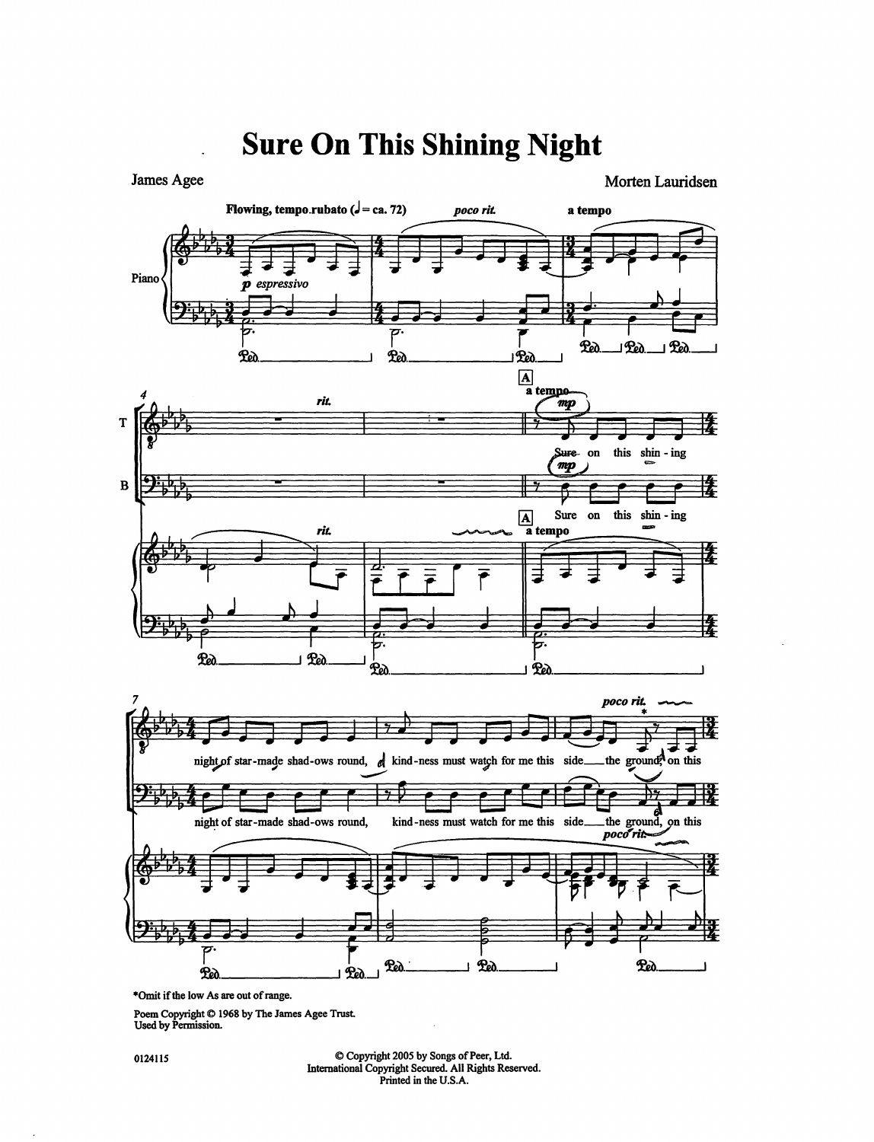

## **Sure On This Shining Night**

•Omit if the low *As* are out of range.

Poem Copyright © 1968 by The James Agee Trust. Used by Permission.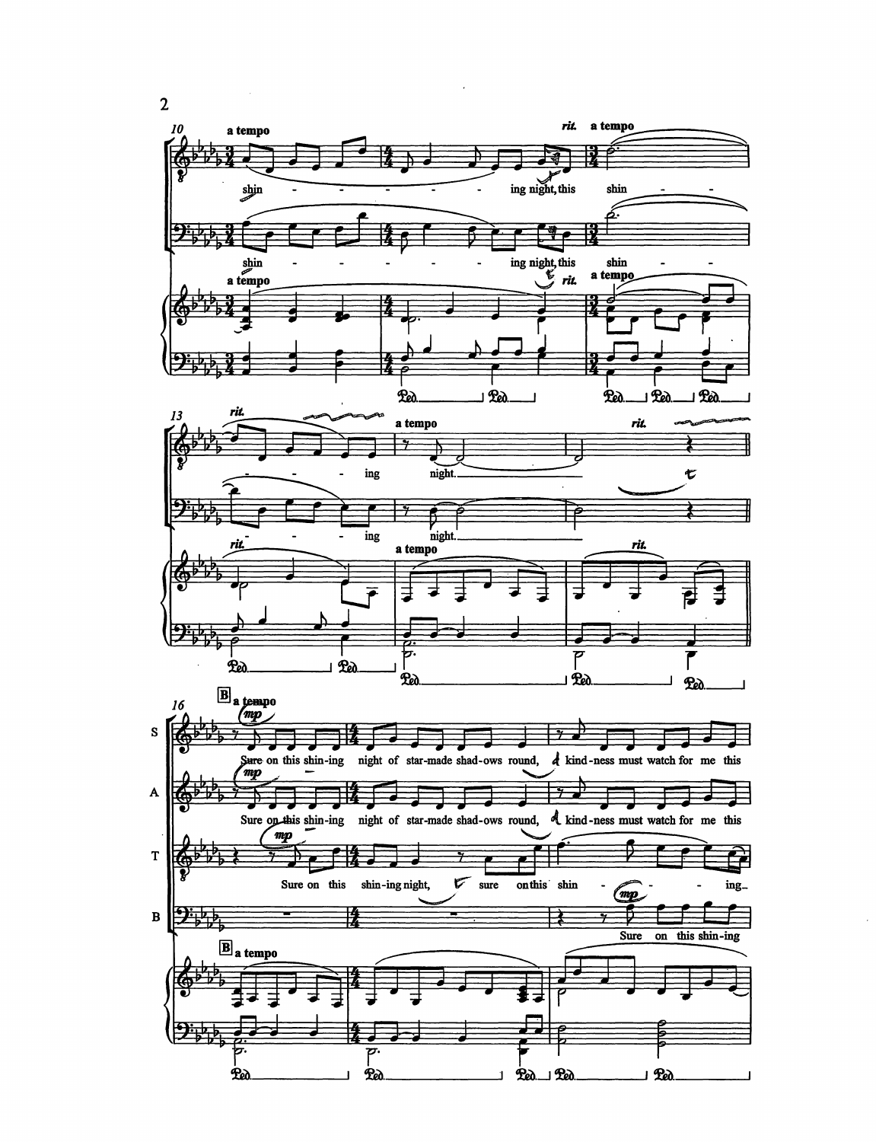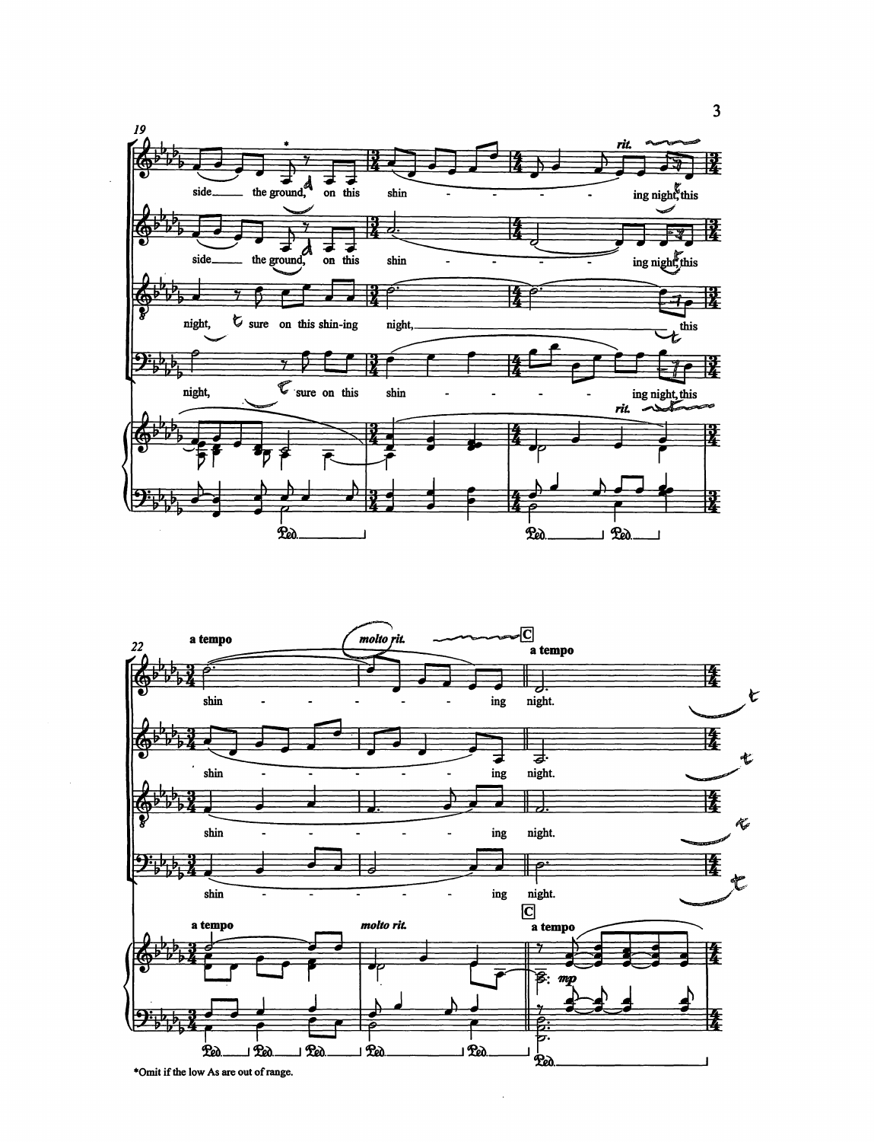



 $\overline{3}$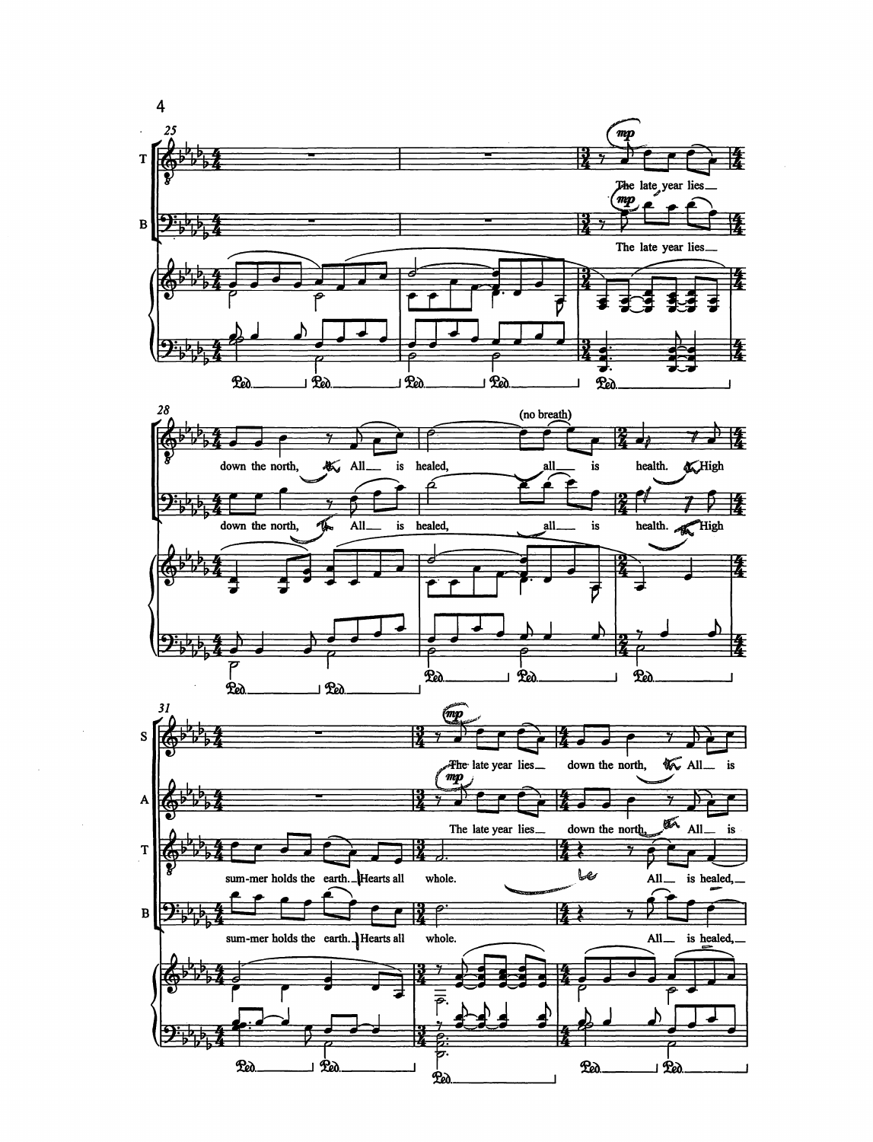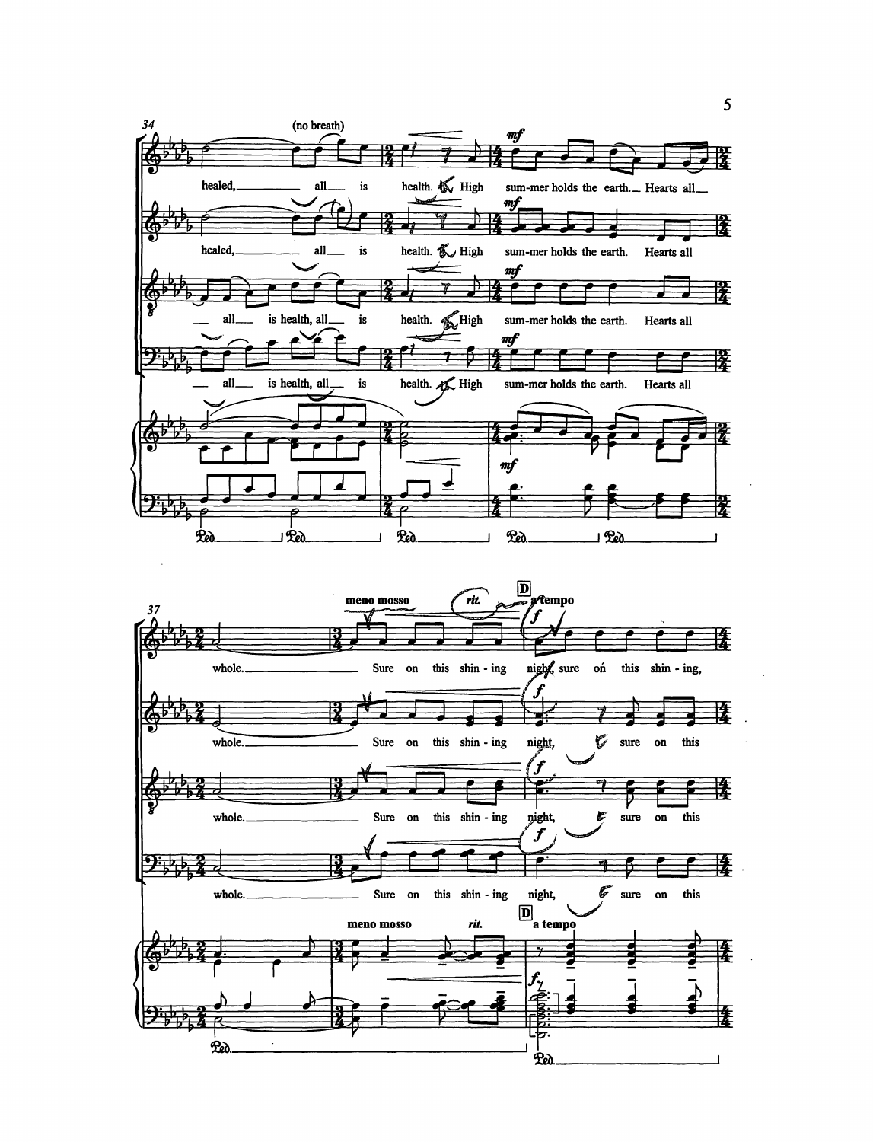

 $\overline{\mathbf{5}}$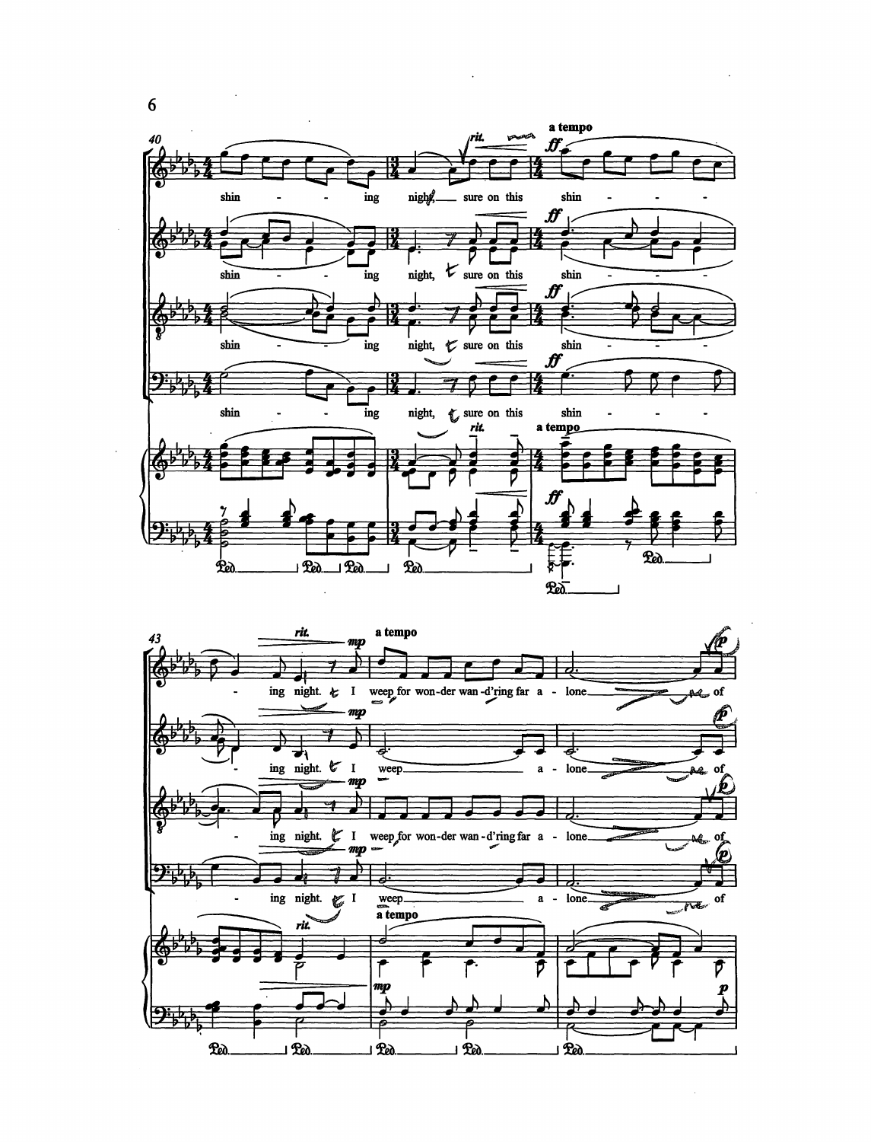



 $6\phantom{a}$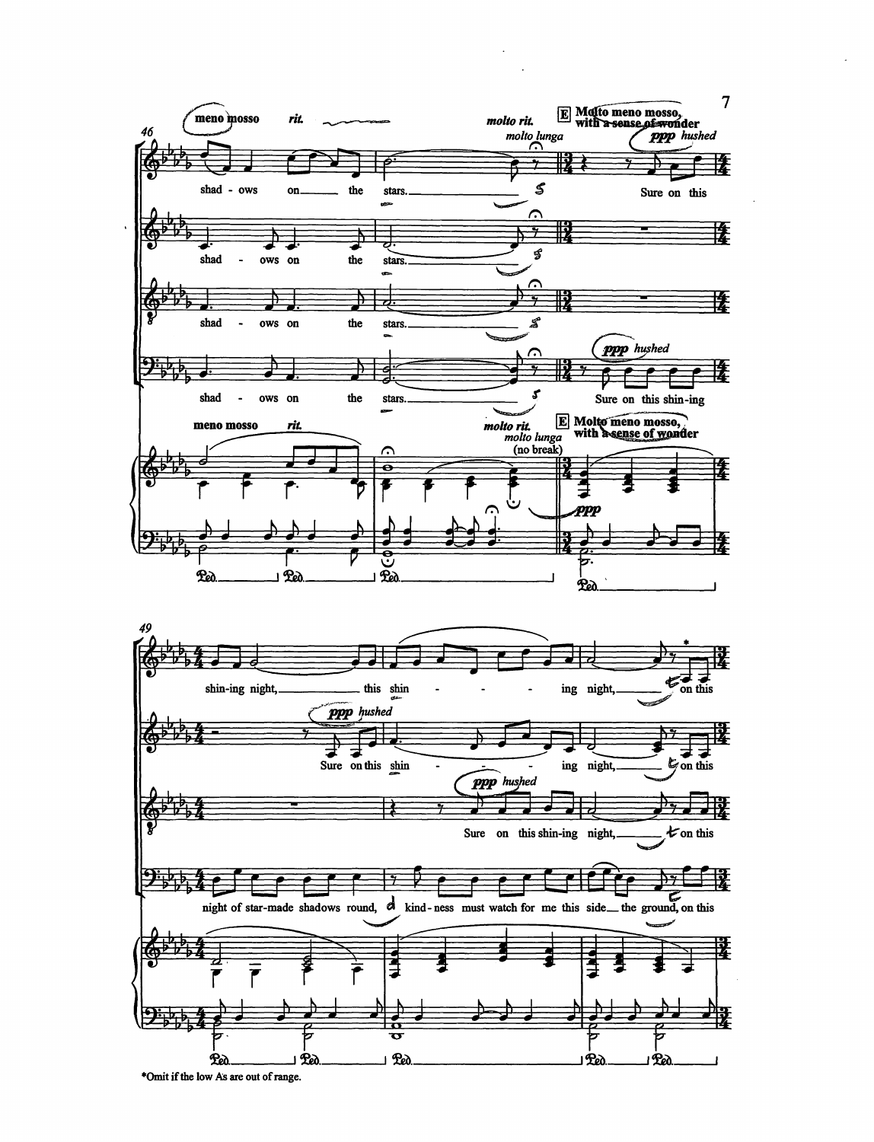

\*Omit if the low As are out of range.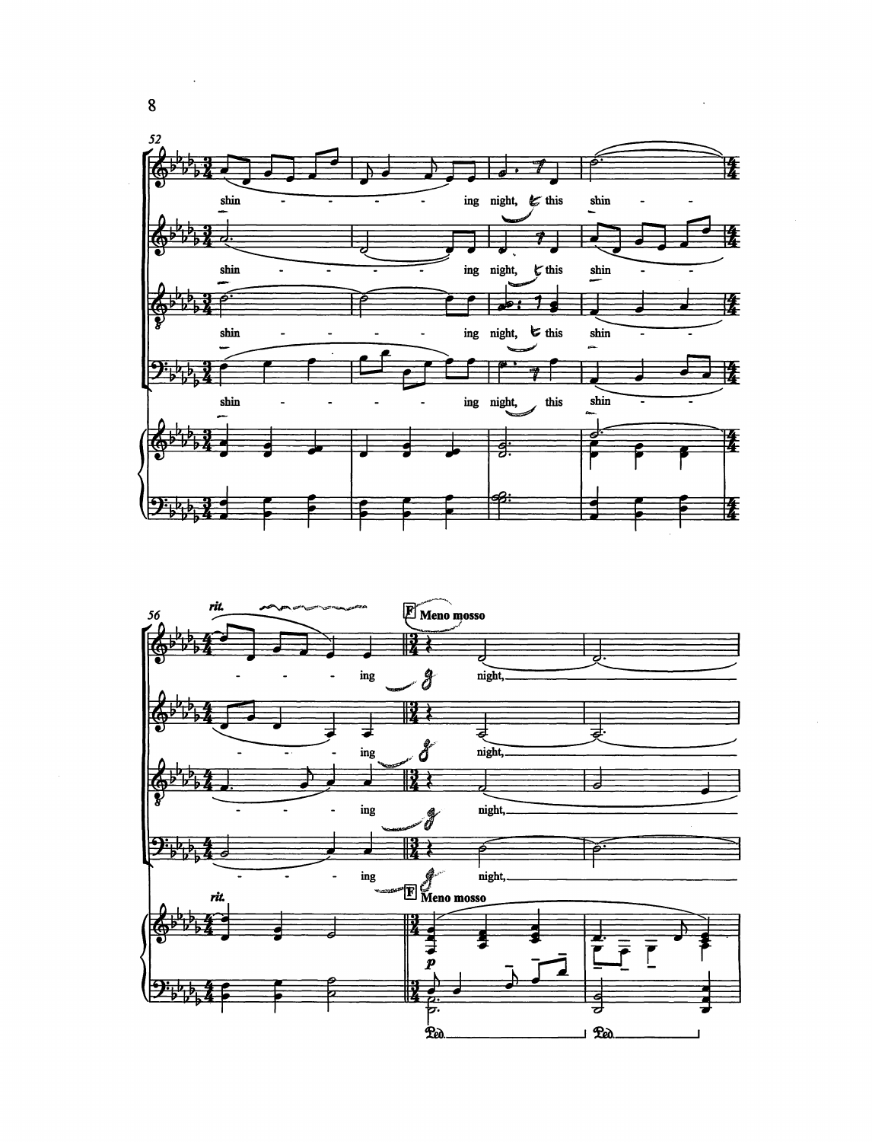



 $\bf 8$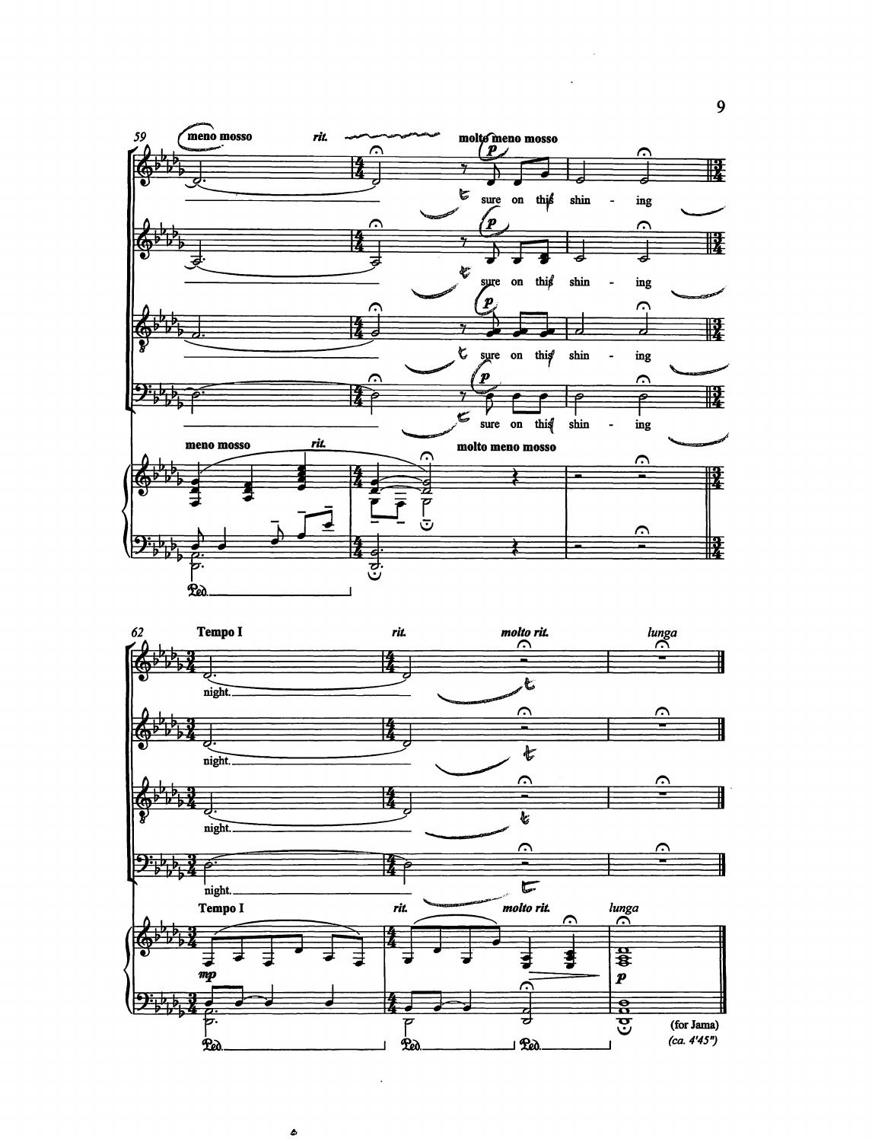



ô

9